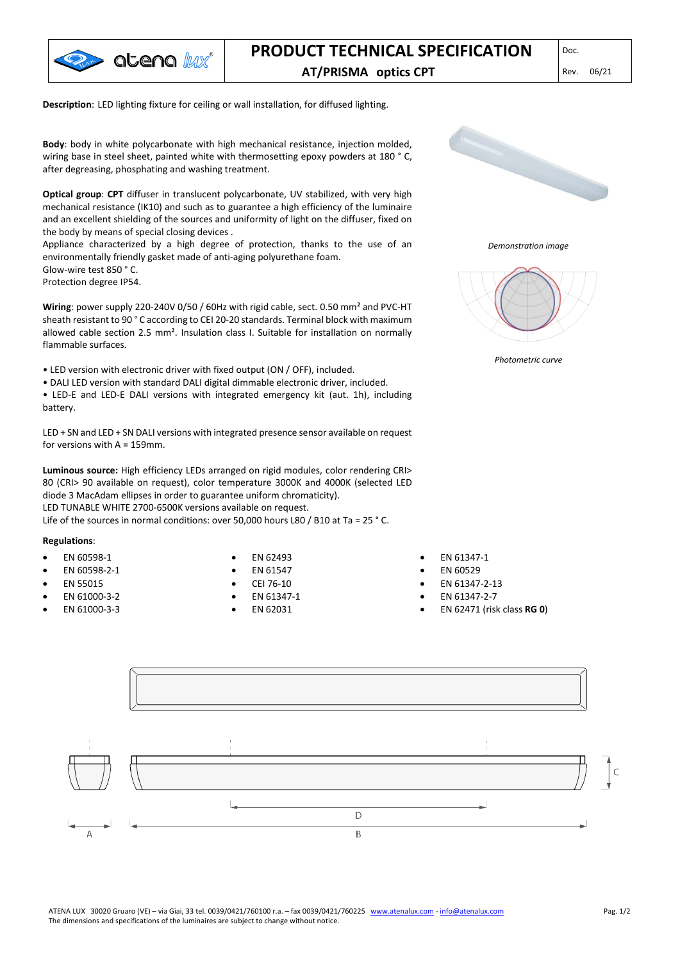

## **PRODUCT TECHNICAL SPECIFICATION AT/PRISMA optics CPT** Rev. 06/21

**Description**: LED lighting fixture for ceiling or wall installation, for diffused lighting.

**Body**: body in white polycarbonate with high mechanical resistance, injection molded, wiring base in steel sheet, painted white with thermosetting epoxy powders at 180 °C, after degreasing, phosphating and washing treatment.

**Optical group**: **CPT** diffuser in translucent polycarbonate, UV stabilized, with very high mechanical resistance (IK10) and such as to guarantee a high efficiency of the luminaire and an excellent shielding of the sources and uniformity of light on the diffuser, fixed on the body by means of special closing devices .

Appliance characterized by a high degree of protection, thanks to the use of an environmentally friendly gasket made of anti-aging polyurethane foam. Glow-wire test 850 ° C.

Protection degree IP54.

**Wiring**: power supply 220-240V 0/50 / 60Hz with rigid cable, sect. 0.50 mm² and PVC-HT sheath resistant to 90 ° C according to CEI 20-20 standards. Terminal block with maximum allowed cable section 2.5 mm². Insulation class I. Suitable for installation on normally flammable surfaces.

• LED version with electronic driver with fixed output (ON / OFF), included.

• DALI LED version with standard DALI digital dimmable electronic driver, included.

• LED-E and LED-E DALI versions with integrated emergency kit (aut. 1h), including battery.

LED + SN and LED + SN DALI versions with integrated presence sensor available on request for versions with A = 159mm.

**Luminous source:** High efficiency LEDs arranged on rigid modules, color rendering CRI> 80 (CRI> 90 available on request), color temperature 3000K and 4000K (selected LED diode 3 MacAdam ellipses in order to guarantee uniform chromaticity). LED TUNABLE WHITE 2700-6500K versions available on request.

Life of the sources in normal conditions: over 50,000 hours L80 / B10 at Ta = 25 ° C.

#### **Regulations**:

- EN 60598-1
- EN 60598-2-1
- EN 55015
- EN 61000-3-2
- EN 61000-3-3
- EN 62493
- EN 61547
- CEI 76-10
- EN 61347-1
- EN 62031



*Demonstration image*



*Photometric curve*

- EN 61347-1
- EN 60529
- EN 61347-2-13
- EN 61347-2-7
- EN 62471 (risk class **RG 0**)